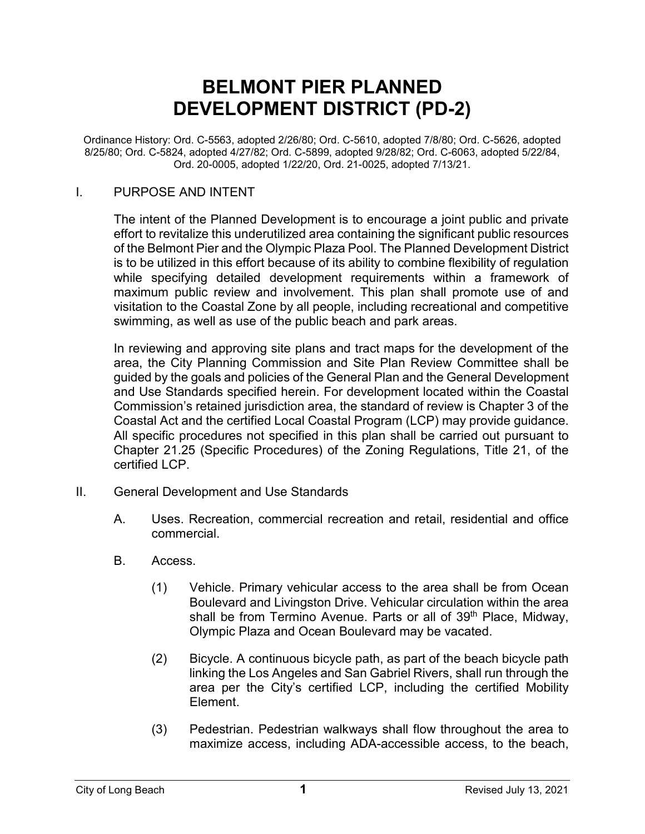# **BELMONT PIER PLANNED DEVELOPMENT DISTRICT (PD-2)**

Ordinance History: Ord. C-5563, adopted 2/26/80; Ord. C-5610, adopted 7/8/80; Ord. C-5626, adopted 8/25/80; Ord. C-5824, adopted 4/27/82; Ord. C-5899, adopted 9/28/82; Ord. C-6063, adopted 5/22/84, Ord. 20-0005, adopted 1/22/20, Ord. 21-0025, adopted 7/13/21.

#### I. PURPOSE AND INTENT

The intent of the Planned Development is to encourage a joint public and private effort to revitalize this underutilized area containing the significant public resources of the Belmont Pier and the Olympic Plaza Pool. The Planned Development District is to be utilized in this effort because of its ability to combine flexibility of regulation while specifying detailed development requirements within a framework of maximum public review and involvement. This plan shall promote use of and visitation to the Coastal Zone by all people, including recreational and competitive swimming, as well as use of the public beach and park areas.

In reviewing and approving site plans and tract maps for the development of the area, the City Planning Commission and Site Plan Review Committee shall be guided by the goals and policies of the General Plan and the General Development and Use Standards specified herein. For development located within the Coastal Commission's retained jurisdiction area, the standard of review is Chapter 3 of the Coastal Act and the certified Local Coastal Program (LCP) may provide guidance. All specific procedures not specified in this plan shall be carried out pursuant to Chapter 21.25 (Specific Procedures) of the Zoning Regulations, Title 21, of the certified LCP.

- II. General Development and Use Standards
	- A. Uses. Recreation, commercial recreation and retail, residential and office commercial.
	- B. Access.
		- (1) Vehicle. Primary vehicular access to the area shall be from Ocean Boulevard and Livingston Drive. Vehicular circulation within the area shall be from Termino Avenue. Parts or all of 39<sup>th</sup> Place, Midway, Olympic Plaza and Ocean Boulevard may be vacated.
		- (2) Bicycle. A continuous bicycle path, as part of the beach bicycle path linking the Los Angeles and San Gabriel Rivers, shall run through the area per the City's certified LCP, including the certified Mobility Element.
		- (3) Pedestrian. Pedestrian walkways shall flow throughout the area to maximize access, including ADA-accessible access, to the beach,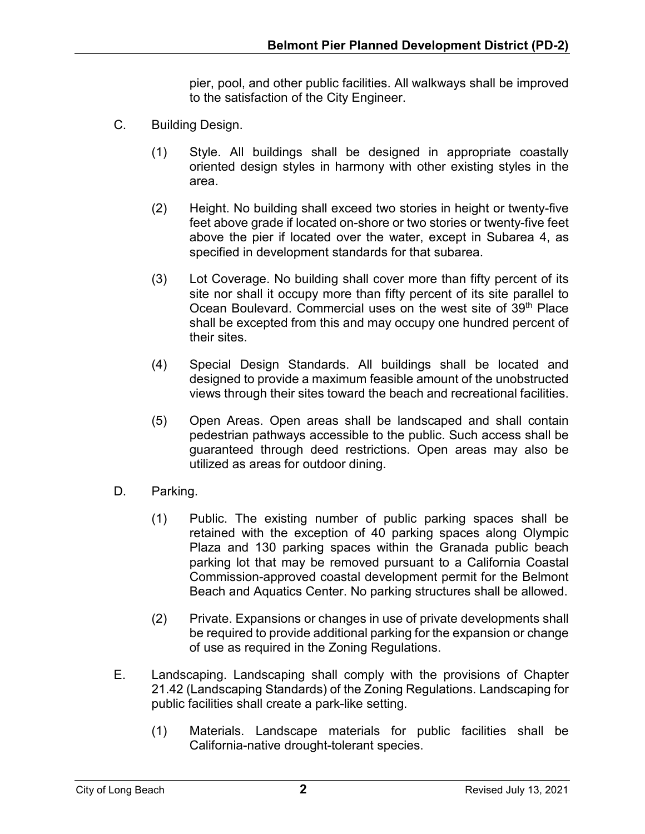pier, pool, and other public facilities. All walkways shall be improved to the satisfaction of the City Engineer.

- C. Building Design.
	- (1) Style. All buildings shall be designed in appropriate coastally oriented design styles in harmony with other existing styles in the area.
	- (2) Height. No building shall exceed two stories in height or twenty-five feet above grade if located on-shore or two stories or twenty-five feet above the pier if located over the water, except in Subarea 4, as specified in development standards for that subarea.
	- (3) Lot Coverage. No building shall cover more than fifty percent of its site nor shall it occupy more than fifty percent of its site parallel to Ocean Boulevard. Commercial uses on the west site of 39<sup>th</sup> Place shall be excepted from this and may occupy one hundred percent of their sites.
	- (4) Special Design Standards. All buildings shall be located and designed to provide a maximum feasible amount of the unobstructed views through their sites toward the beach and recreational facilities.
	- (5) Open Areas. Open areas shall be landscaped and shall contain pedestrian pathways accessible to the public. Such access shall be guaranteed through deed restrictions. Open areas may also be utilized as areas for outdoor dining.
- D. Parking.
	- (1) Public. The existing number of public parking spaces shall be retained with the exception of 40 parking spaces along Olympic Plaza and 130 parking spaces within the Granada public beach parking lot that may be removed pursuant to a California Coastal Commission-approved coastal development permit for the Belmont Beach and Aquatics Center. No parking structures shall be allowed.
	- (2) Private. Expansions or changes in use of private developments shall be required to provide additional parking for the expansion or change of use as required in the Zoning Regulations.
- E. Landscaping. Landscaping shall comply with the provisions of Chapter 21.42 (Landscaping Standards) of the Zoning Regulations. Landscaping for public facilities shall create a park-like setting.
	- (1) Materials. Landscape materials for public facilities shall be California-native drought-tolerant species.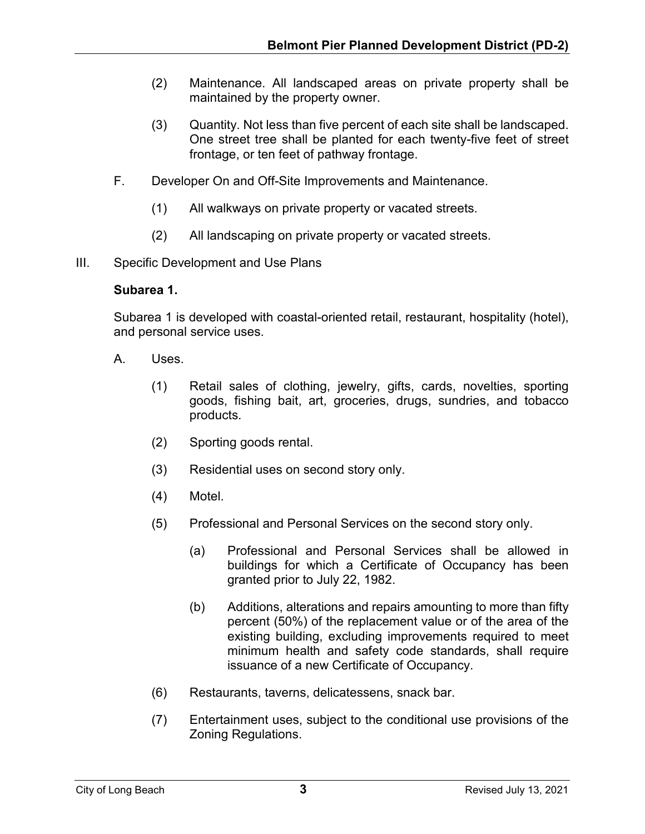- (2) Maintenance. All landscaped areas on private property shall be maintained by the property owner.
- (3) Quantity. Not less than five percent of each site shall be landscaped. One street tree shall be planted for each twenty-five feet of street frontage, or ten feet of pathway frontage.
- F. Developer On and Off-Site Improvements and Maintenance.
	- (1) All walkways on private property or vacated streets.
	- (2) All landscaping on private property or vacated streets.
- III. Specific Development and Use Plans

#### **Subarea 1.**

Subarea 1 is developed with coastal-oriented retail, restaurant, hospitality (hotel), and personal service uses.

- A. Uses.
	- (1) Retail sales of clothing, jewelry, gifts, cards, novelties, sporting goods, fishing bait, art, groceries, drugs, sundries, and tobacco products.
	- (2) Sporting goods rental.
	- (3) Residential uses on second story only.
	- (4) Motel.
	- (5) Professional and Personal Services on the second story only.
		- (a) Professional and Personal Services shall be allowed in buildings for which a Certificate of Occupancy has been granted prior to July 22, 1982.
		- (b) Additions, alterations and repairs amounting to more than fifty percent (50%) of the replacement value or of the area of the existing building, excluding improvements required to meet minimum health and safety code standards, shall require issuance of a new Certificate of Occupancy.
	- (6) Restaurants, taverns, delicatessens, snack bar.
	- (7) Entertainment uses, subject to the conditional use provisions of the Zoning Regulations.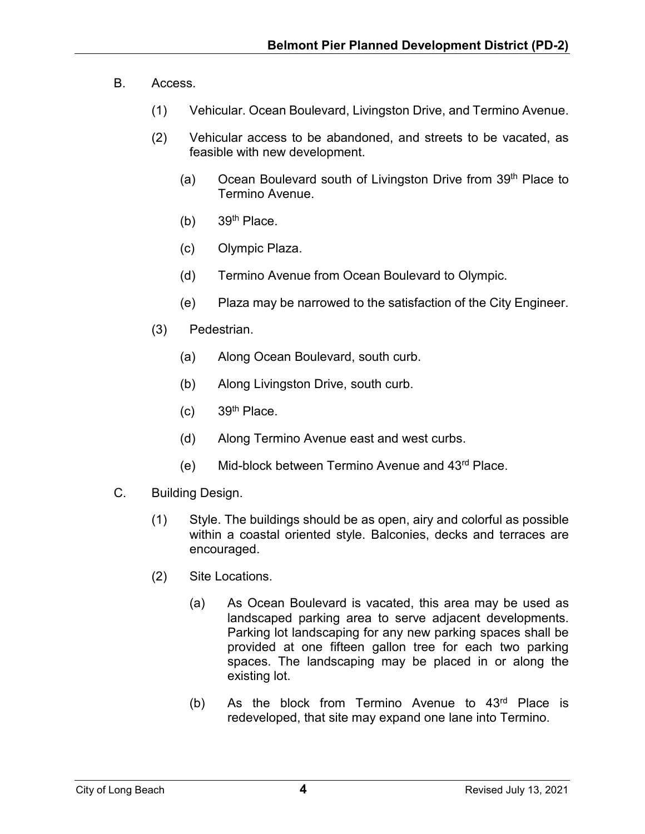- B. Access.
	- (1) Vehicular. Ocean Boulevard, Livingston Drive, and Termino Avenue.
	- (2) Vehicular access to be abandoned, and streets to be vacated, as feasible with new development.
		- (a) Ocean Boulevard south of Livingston Drive from  $39<sup>th</sup>$  Place to Termino Avenue.
		- $(b)$  39<sup>th</sup> Place.
		- (c) Olympic Plaza.
		- (d) Termino Avenue from Ocean Boulevard to Olympic.
		- (e) Plaza may be narrowed to the satisfaction of the City Engineer.
	- (3) Pedestrian.
		- (a) Along Ocean Boulevard, south curb.
		- (b) Along Livingston Drive, south curb.
		- $(c)$  39<sup>th</sup> Place.
		- (d) Along Termino Avenue east and west curbs.
		- (e) Mid-block between Termino Avenue and 43rd Place.
- C. Building Design.
	- (1) Style. The buildings should be as open, airy and colorful as possible within a coastal oriented style. Balconies, decks and terraces are encouraged.
	- (2) Site Locations.
		- (a) As Ocean Boulevard is vacated, this area may be used as landscaped parking area to serve adjacent developments. Parking lot landscaping for any new parking spaces shall be provided at one fifteen gallon tree for each two parking spaces. The landscaping may be placed in or along the existing lot.
		- (b) As the block from Termino Avenue to  $43<sup>rd</sup>$  Place is redeveloped, that site may expand one lane into Termino.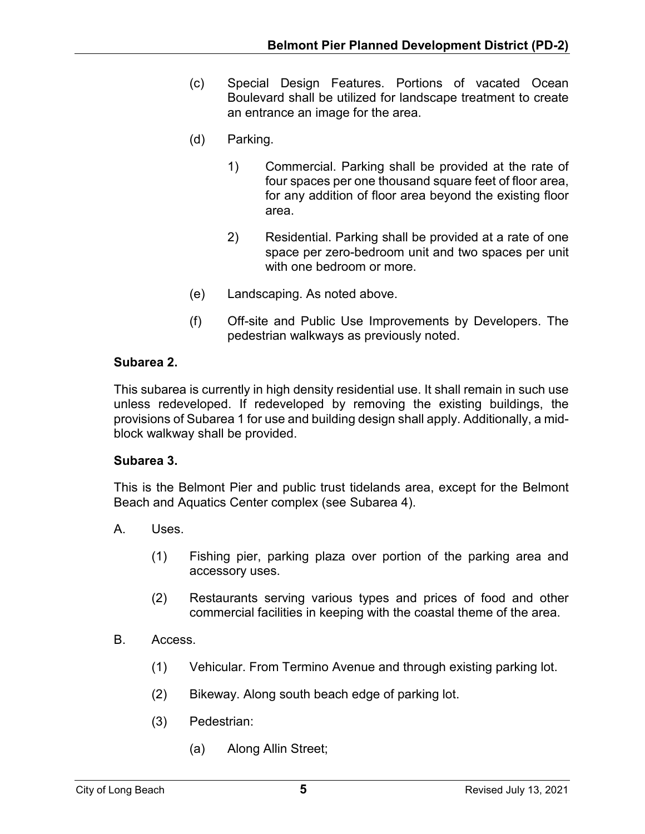- (c) Special Design Features. Portions of vacated Ocean Boulevard shall be utilized for landscape treatment to create an entrance an image for the area.
- (d) Parking.
	- 1) Commercial. Parking shall be provided at the rate of four spaces per one thousand square feet of floor area, for any addition of floor area beyond the existing floor area.
	- 2) Residential. Parking shall be provided at a rate of one space per zero-bedroom unit and two spaces per unit with one bedroom or more.
- (e) Landscaping. As noted above.
- (f) Off-site and Public Use Improvements by Developers. The pedestrian walkways as previously noted.

## **Subarea 2.**

This subarea is currently in high density residential use. It shall remain in such use unless redeveloped. If redeveloped by removing the existing buildings, the provisions of Subarea 1 for use and building design shall apply. Additionally, a midblock walkway shall be provided.

### **Subarea 3.**

This is the Belmont Pier and public trust tidelands area, except for the Belmont Beach and Aquatics Center complex (see Subarea 4).

- A. Uses.
	- (1) Fishing pier, parking plaza over portion of the parking area and accessory uses.
	- (2) Restaurants serving various types and prices of food and other commercial facilities in keeping with the coastal theme of the area.
- B. Access.
	- (1) Vehicular. From Termino Avenue and through existing parking lot.
	- (2) Bikeway. Along south beach edge of parking lot.
	- (3) Pedestrian:
		- (a) Along Allin Street;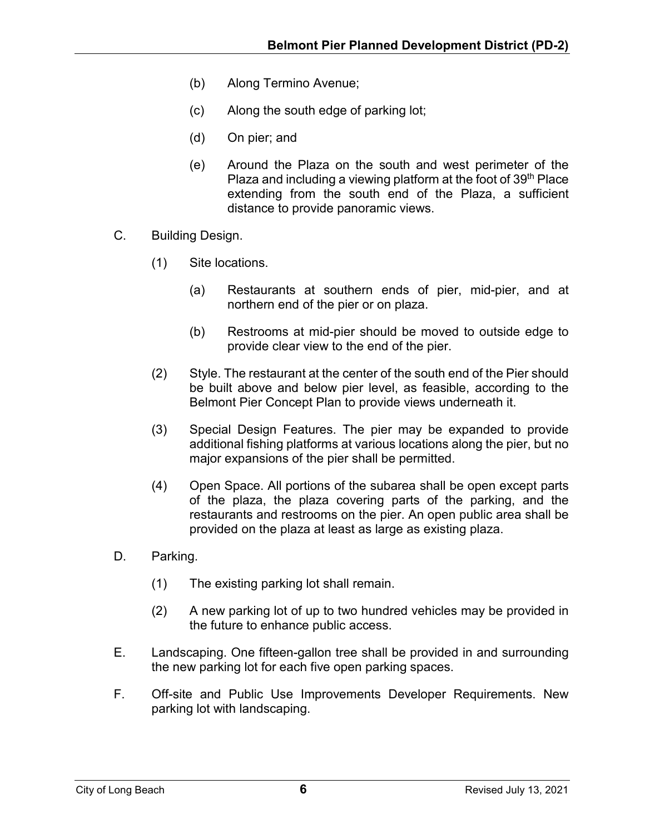- (b) Along Termino Avenue;
- (c) Along the south edge of parking lot;
- (d) On pier; and
- (e) Around the Plaza on the south and west perimeter of the Plaza and including a viewing platform at the foot of  $39<sup>th</sup>$  Place extending from the south end of the Plaza, a sufficient distance to provide panoramic views.
- C. Building Design.
	- (1) Site locations.
		- (a) Restaurants at southern ends of pier, mid-pier, and at northern end of the pier or on plaza.
		- (b) Restrooms at mid-pier should be moved to outside edge to provide clear view to the end of the pier.
	- (2) Style. The restaurant at the center of the south end of the Pier should be built above and below pier level, as feasible, according to the Belmont Pier Concept Plan to provide views underneath it.
	- (3) Special Design Features. The pier may be expanded to provide additional fishing platforms at various locations along the pier, but no major expansions of the pier shall be permitted.
	- (4) Open Space. All portions of the subarea shall be open except parts of the plaza, the plaza covering parts of the parking, and the restaurants and restrooms on the pier. An open public area shall be provided on the plaza at least as large as existing plaza.
- D. Parking.
	- (1) The existing parking lot shall remain.
	- (2) A new parking lot of up to two hundred vehicles may be provided in the future to enhance public access.
- E. Landscaping. One fifteen-gallon tree shall be provided in and surrounding the new parking lot for each five open parking spaces.
- F. Off-site and Public Use Improvements Developer Requirements. New parking lot with landscaping.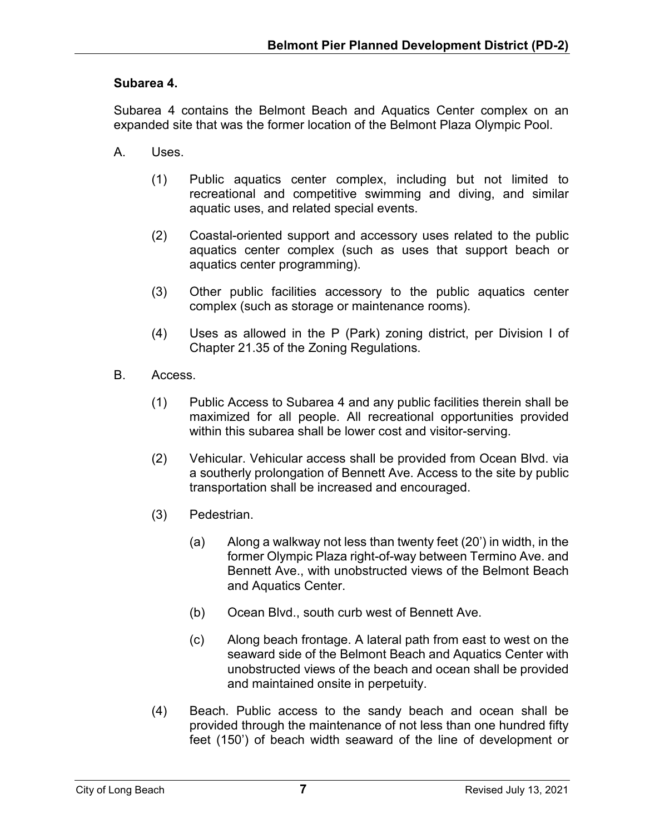## **Subarea 4.**

Subarea 4 contains the Belmont Beach and Aquatics Center complex on an expanded site that was the former location of the Belmont Plaza Olympic Pool.

- A. Uses.
	- (1) Public aquatics center complex, including but not limited to recreational and competitive swimming and diving, and similar aquatic uses, and related special events.
	- (2) Coastal-oriented support and accessory uses related to the public aquatics center complex (such as uses that support beach or aquatics center programming).
	- (3) Other public facilities accessory to the public aquatics center complex (such as storage or maintenance rooms).
	- (4) Uses as allowed in the P (Park) zoning district, per Division I of Chapter 21.35 of the Zoning Regulations.
- B. Access.
	- (1) Public Access to Subarea 4 and any public facilities therein shall be maximized for all people. All recreational opportunities provided within this subarea shall be lower cost and visitor-serving.
	- (2) Vehicular. Vehicular access shall be provided from Ocean Blvd. via a southerly prolongation of Bennett Ave. Access to the site by public transportation shall be increased and encouraged.
	- (3) Pedestrian.
		- (a) Along a walkway not less than twenty feet (20') in width, in the former Olympic Plaza right-of-way between Termino Ave. and Bennett Ave., with unobstructed views of the Belmont Beach and Aquatics Center.
		- (b) Ocean Blvd., south curb west of Bennett Ave.
		- (c) Along beach frontage. A lateral path from east to west on the seaward side of the Belmont Beach and Aquatics Center with unobstructed views of the beach and ocean shall be provided and maintained onsite in perpetuity.
	- (4) Beach. Public access to the sandy beach and ocean shall be provided through the maintenance of not less than one hundred fifty feet (150') of beach width seaward of the line of development or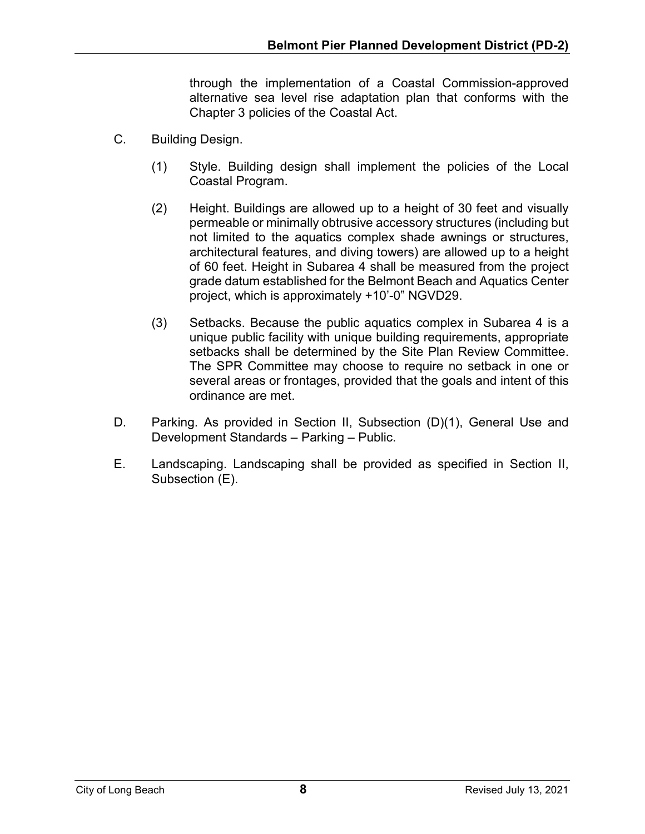through the implementation of a Coastal Commission-approved alternative sea level rise adaptation plan that conforms with the Chapter 3 policies of the Coastal Act.

- C. Building Design.
	- (1) Style. Building design shall implement the policies of the Local Coastal Program.
	- (2) Height. Buildings are allowed up to a height of 30 feet and visually permeable or minimally obtrusive accessory structures (including but not limited to the aquatics complex shade awnings or structures, architectural features, and diving towers) are allowed up to a height of 60 feet. Height in Subarea 4 shall be measured from the project grade datum established for the Belmont Beach and Aquatics Center project, which is approximately +10'-0" NGVD29.
	- (3) Setbacks. Because the public aquatics complex in Subarea 4 is a unique public facility with unique building requirements, appropriate setbacks shall be determined by the Site Plan Review Committee. The SPR Committee may choose to require no setback in one or several areas or frontages, provided that the goals and intent of this ordinance are met.
- D. Parking. As provided in Section II, Subsection (D)(1), General Use and Development Standards – Parking – Public.
- E. Landscaping. Landscaping shall be provided as specified in Section II, Subsection (E).